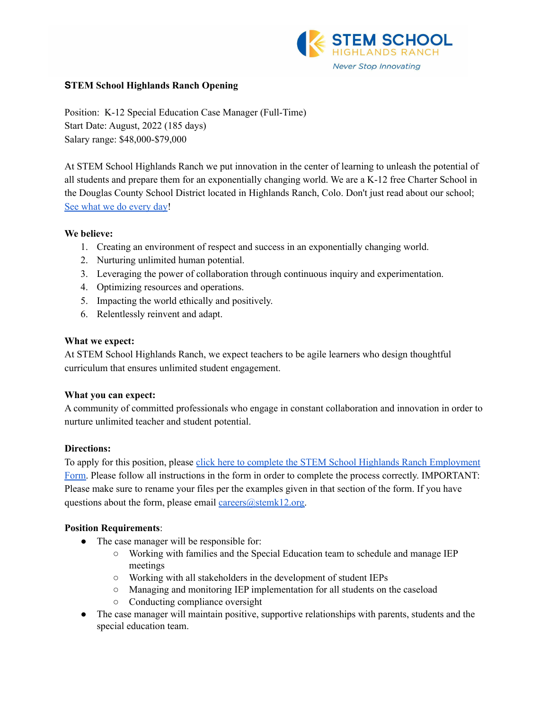

### **STEM School Highlands Ranch Opening**

Position: K-12 Special Education Case Manager (Full-Time) Start Date: August, 2022 (185 days) Salary range: \$48,000-\$79,000

At STEM School Highlands Ranch we put innovation in the center of learning to unleash the potential of all students and prepare them for an exponentially changing world. We are a K-12 free Charter School in the Douglas County School District located in Highlands Ranch, Colo. Don't just read about our school; See what we do [every](https://www.youtube.com/channel/UCEjas5mnML_7D6bnjE6cBXQ) day!

### **We believe:**

- 1. Creating an environment of respect and success in an exponentially changing world.
- 2. Nurturing unlimited human potential.
- 3. Leveraging the power of collaboration through continuous inquiry and experimentation.
- 4. Optimizing resources and operations.
- 5. Impacting the world ethically and positively.
- 6. Relentlessly reinvent and adapt.

### **What we expect:**

At STEM School Highlands Ranch, we expect teachers to be agile learners who design thoughtful curriculum that ensures unlimited student engagement.

# **What you can expect:**

A community of committed professionals who engage in constant collaboration and innovation in order to nurture unlimited teacher and student potential.

# **Directions:**

To apply for this position, please click here to complete the STEM School Highlands Ranch [Employment](https://docs.google.com/forms/d/e/1FAIpQLSfix8N5Y4r8UN-EoNntuUI_3ZGfalCIW_KiKAja-s9jkUit8g/viewform?usp=sf_link) [Form.](https://docs.google.com/forms/d/e/1FAIpQLSfix8N5Y4r8UN-EoNntuUI_3ZGfalCIW_KiKAja-s9jkUit8g/viewform?usp=sf_link) Please follow all instructions in the form in order to complete the process correctly. IMPORTANT: Please make sure to rename your files per the examples given in that section of the form. If you have questions about the form, please email [careers@stemk12.org.](mailto:careers@stemk12.org)

### **Position Requirements**:

- The case manager will be responsible for:
	- Working with families and the Special Education team to schedule and manage IEP meetings
	- Working with all stakeholders in the development of student IEPs
	- Managing and monitoring IEP implementation for all students on the caseload
	- Conducting compliance oversight
- The case manager will maintain positive, supportive relationships with parents, students and the special education team.